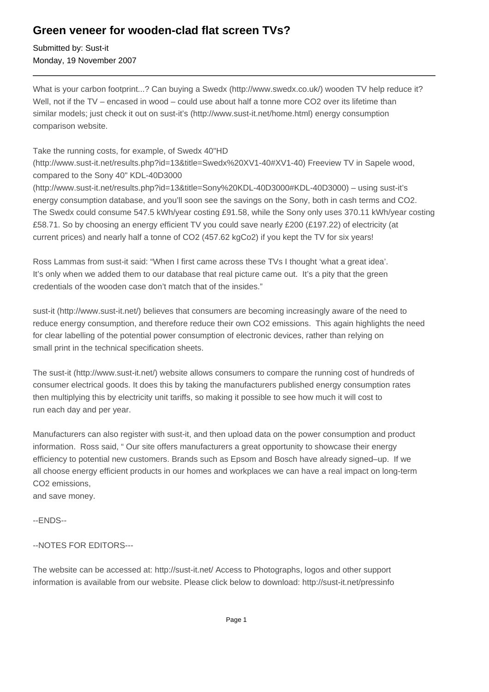## **Green veneer for wooden-clad flat screen TVs?**

Submitted by: Sust-it Monday, 19 November 2007

What is your carbon footprint...? Can buying a Swedx (http://www.swedx.co.uk/) wooden TV help reduce it? Well, not if the TV – encased in wood – could use about half a tonne more CO2 over its lifetime than similar models; just check it out on sust-it's (http://www.sust-it.net/home.html) energy consumption comparison website.

## Take the running costs, for example, of Swedx 40"HD

(http://www.sust-it.net/results.php?id=13&title=Swedx%20XV1-40#XV1-40) Freeview TV in Sapele wood, compared to the Sony 40" KDL-40D3000

(http://www.sust-it.net/results.php?id=13&title=Sony%20KDL-40D3000#KDL-40D3000) – using sust-it's energy consumption database, and you'll soon see the savings on the Sony, both in cash terms and CO2. The Swedx could consume 547.5 kWh/year costing £91.58, while the Sony only uses 370.11 kWh/year costing £58.71. So by choosing an energy efficient TV you could save nearly £200 (£197.22) of electricity (at current prices) and nearly half a tonne of CO2 (457.62 kgCo2) if you kept the TV for six years!

Ross Lammas from sust-it said: "When I first came across these TVs I thought 'what a great idea'. It's only when we added them to our database that real picture came out. It's a pity that the green credentials of the wooden case don't match that of the insides."

sust-it (http://www.sust-it.net/) believes that consumers are becoming increasingly aware of the need to reduce energy consumption, and therefore reduce their own CO2 emissions. This again highlights the need for clear labelling of the potential power consumption of electronic devices, rather than relying on small print in the technical specification sheets.

The sust-it (http://www.sust-it.net/) website allows consumers to compare the running cost of hundreds of consumer electrical goods. It does this by taking the manufacturers published energy consumption rates then multiplying this by electricity unit tariffs, so making it possible to see how much it will cost to run each day and per year.

Manufacturers can also register with sust-it, and then upload data on the power consumption and product information. Ross said, " Our site offers manufacturers a great opportunity to showcase their energy efficiency to potential new customers. Brands such as Epsom and Bosch have already signed–up. If we all choose energy efficient products in our homes and workplaces we can have a real impact on long-term CO2 emissions,

and save money.

--ENDS--

## --NOTES FOR EDITORS---

The website can be accessed at: http://sust-it.net/ Access to Photographs, logos and other support information is available from our website. Please click below to download: http://sust-it.net/pressinfo